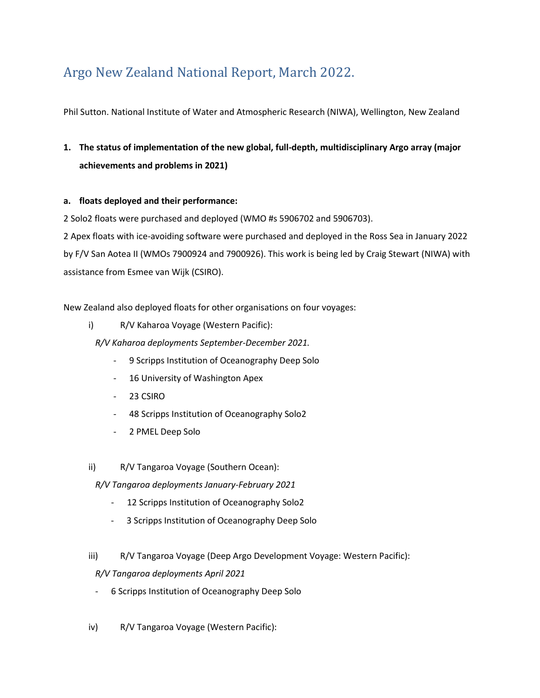# Argo New Zealand National Report, March 2022.

Phil Sutton. National Institute of Water and Atmospheric Research (NIWA), Wellington, New Zealand

### **1. The status of implementation of the new global, full-depth, multidisciplinary Argo array (major achievements and problems in 2021)**

### **a. floats deployed and their performance:**

2 Solo2 floats were purchased and deployed (WMO #s 5906702 and 5906703).

2 Apex floats with ice-avoiding software were purchased and deployed in the Ross Sea in January 2022 by F/V San Aotea II (WMOs 7900924 and 7900926). This work is being led by Craig Stewart (NIWA) with assistance from Esmee van Wijk (CSIRO).

New Zealand also deployed floats for other organisations on four voyages:

i) R/V Kaharoa Voyage (Western Pacific):

*R/V Kaharoa deployments September-December 2021.*

- 9 Scripps Institution of Oceanography Deep Solo
- 16 University of Washington Apex
- 23 CSIRO
- 48 Scripps Institution of Oceanography Solo2
- 2 PMEL Deep Solo
- ii) R/V Tangaroa Voyage (Southern Ocean):

*R/V Tangaroa deployments January-February 2021*

- 12 Scripps Institution of Oceanography Solo2
- 3 Scripps Institution of Oceanography Deep Solo
- iii) R/V Tangaroa Voyage (Deep Argo Development Voyage: Western Pacific):

### *R/V Tangaroa deployments April 2021*

- 6 Scripps Institution of Oceanography Deep Solo
- iv) R/V Tangaroa Voyage (Western Pacific):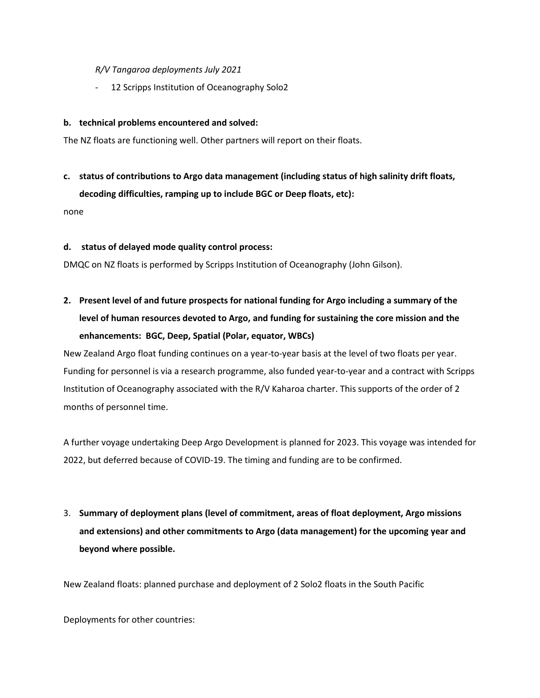### *R/V Tangaroa deployments July 2021*

- 12 Scripps Institution of Oceanography Solo2

#### **b. technical problems encountered and solved:**

The NZ floats are functioning well. Other partners will report on their floats.

### **c. status of contributions to Argo data management (including status of high salinity drift floats, decoding difficulties, ramping up to include BGC or Deep floats, etc):**

none

#### **d. status of delayed mode quality control process:**

DMQC on NZ floats is performed by Scripps Institution of Oceanography (John Gilson).

## **2. Present level of and future prospects for national funding for Argo including a summary of the level of human resources devoted to Argo, and funding for sustaining the core mission and the enhancements: BGC, Deep, Spatial (Polar, equator, WBCs)**

New Zealand Argo float funding continues on a year-to-year basis at the level of two floats per year. Funding for personnel is via a research programme, also funded year-to-year and a contract with Scripps Institution of Oceanography associated with the R/V Kaharoa charter. This supports of the order of 2 months of personnel time.

A further voyage undertaking Deep Argo Development is planned for 2023. This voyage was intended for 2022, but deferred because of COVID-19. The timing and funding are to be confirmed.

3. **Summary of deployment plans (level of commitment, areas of float deployment, Argo missions and extensions) and other commitments to Argo (data management) for the upcoming year and beyond where possible.**

New Zealand floats: planned purchase and deployment of 2 Solo2 floats in the South Pacific

Deployments for other countries: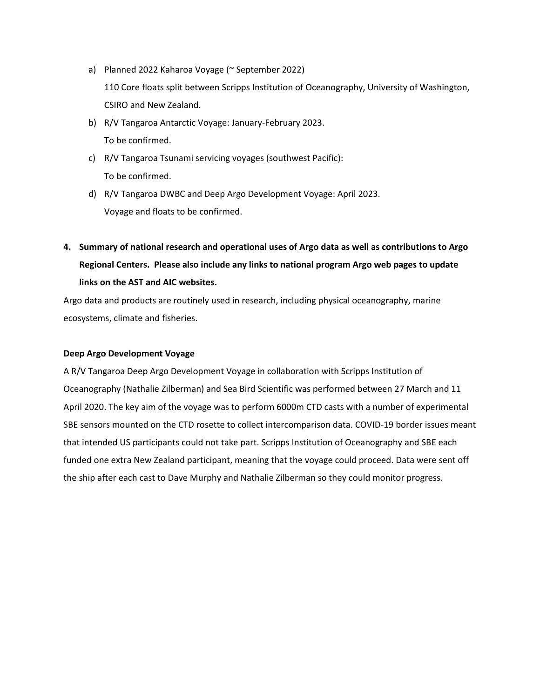- a) Planned 2022 Kaharoa Voyage (~ September 2022) 110 Core floats split between Scripps Institution of Oceanography, University of Washington, CSIRO and New Zealand.
- b) R/V Tangaroa Antarctic Voyage: January-February 2023. To be confirmed.
- c) R/V Tangaroa Tsunami servicing voyages (southwest Pacific): To be confirmed.
- d) R/V Tangaroa DWBC and Deep Argo Development Voyage: April 2023. Voyage and floats to be confirmed.
- **4. Summary of national research and operational uses of Argo data as well as contributions to Argo Regional Centers. Please also include any links to national program Argo web pages to update links on the AST and AIC websites.**

Argo data and products are routinely used in research, including physical oceanography, marine ecosystems, climate and fisheries.

### **Deep Argo Development Voyage**

A R/V Tangaroa Deep Argo Development Voyage in collaboration with Scripps Institution of Oceanography (Nathalie Zilberman) and Sea Bird Scientific was performed between 27 March and 11 April 2020. The key aim of the voyage was to perform 6000m CTD casts with a number of experimental SBE sensors mounted on the CTD rosette to collect intercomparison data. COVID-19 border issues meant that intended US participants could not take part. Scripps Institution of Oceanography and SBE each funded one extra New Zealand participant, meaning that the voyage could proceed. Data were sent off the ship after each cast to Dave Murphy and Nathalie Zilberman so they could monitor progress.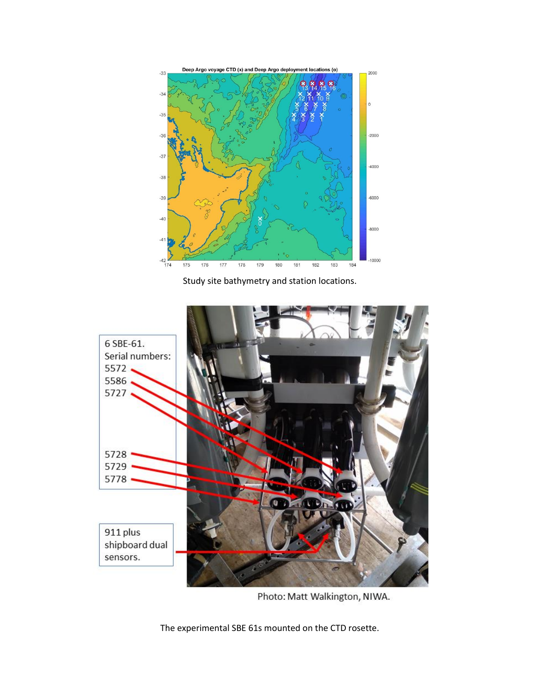

Study site bathymetry and station locations.



Photo: Matt Walkington, NIWA.

The experimental SBE 61s mounted on the CTD rosette.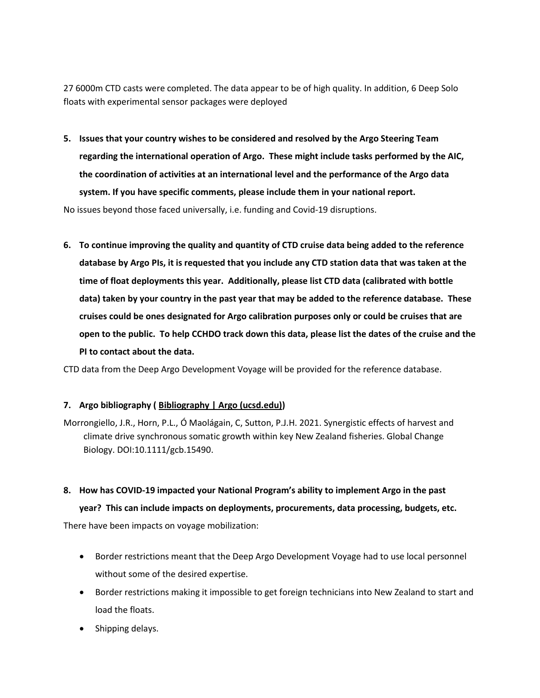27 6000m CTD casts were completed. The data appear to be of high quality. In addition, 6 Deep Solo floats with experimental sensor packages were deployed

**5. Issues that your country wishes to be considered and resolved by the Argo Steering Team regarding the international operation of Argo. These might include tasks performed by the AIC, the coordination of activities at an international level and the performance of the Argo data system. If you have specific comments, please include them in your national report.**

No issues beyond those faced universally, i.e. funding and Covid-19 disruptions.

**6. To continue improving the quality and quantity of CTD cruise data being added to the reference database by Argo PIs, it is requested that you include any CTD station data that was taken at the time of float deployments this year. Additionally, please list CTD data (calibrated with bottle data) taken by your country in the past year that may be added to the reference database. These cruises could be ones designated for Argo calibration purposes only or could be cruises that are open to the public. To help CCHDO track down this data, please list the dates of the cruise and the PI to contact about the data.**

CTD data from the Deep Argo Development Voyage will be provided for the reference database.

### **7. Argo bibliography ( [Bibliography | Argo \(ucsd.edu\)\)](https://argo.ucsd.edu/outreach/publications/bibliography/)**

Morrongiello, J.R., Horn, P.L., Ó Maolágain, C, Sutton, P.J.H. 2021. Synergistic effects of harvest and climate drive synchronous somatic growth within key New Zealand fisheries. Global Change Biology. DOI:10.1111/gcb.15490.

**8. How has COVID-19 impacted your National Program's ability to implement Argo in the past year? This can include impacts on deployments, procurements, data processing, budgets, etc.**

There have been impacts on voyage mobilization:

- Border restrictions meant that the Deep Argo Development Voyage had to use local personnel without some of the desired expertise.
- Border restrictions making it impossible to get foreign technicians into New Zealand to start and load the floats.
- Shipping delays.